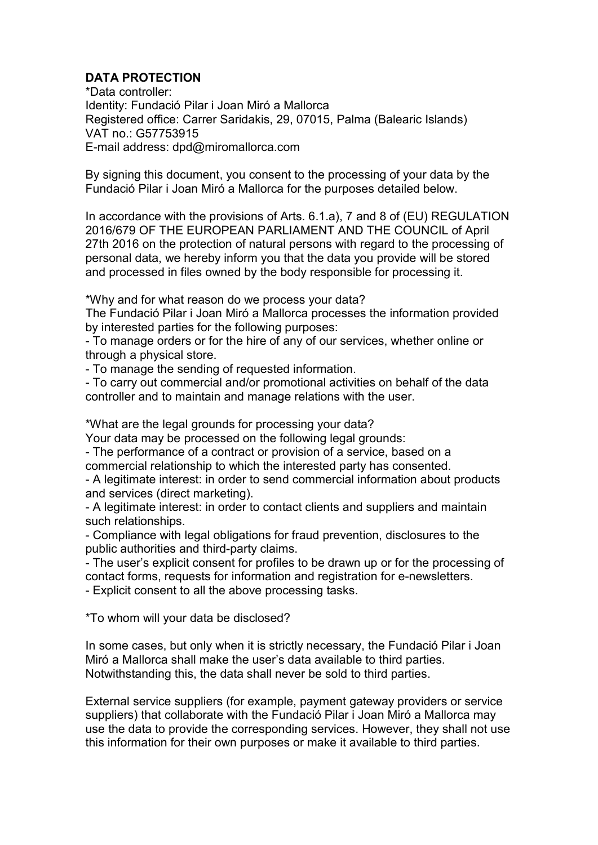## DATA PROTECTION

\*Data controller: Identity: Fundació Pilar i Joan Miró a Mallorca Registered office: Carrer Saridakis, 29, 07015, Palma (Balearic Islands) VAT no.: G57753915 E-mail address: dpd@miromallorca.com

By signing this document, you consent to the processing of your data by the Fundació Pilar i Joan Miró a Mallorca for the purposes detailed below.

In accordance with the provisions of Arts. 6.1.a), 7 and 8 of (EU) REGULATION 2016/679 OF THE EUROPEAN PARLIAMENT AND THE COUNCIL of April 27th 2016 on the protection of natural persons with regard to the processing of personal data, we hereby inform you that the data you provide will be stored and processed in files owned by the body responsible for processing it.

\*Why and for what reason do we process your data?

The Fundació Pilar i Joan Miró a Mallorca processes the information provided by interested parties for the following purposes:

- To manage orders or for the hire of any of our services, whether online or through a physical store.

- To manage the sending of requested information.

- To carry out commercial and/or promotional activities on behalf of the data controller and to maintain and manage relations with the user.

\*What are the legal grounds for processing your data?

Your data may be processed on the following legal grounds:

- The performance of a contract or provision of a service, based on a commercial relationship to which the interested party has consented.

- A legitimate interest: in order to send commercial information about products and services (direct marketing).

- A legitimate interest: in order to contact clients and suppliers and maintain such relationships.

- Compliance with legal obligations for fraud prevention, disclosures to the public authorities and third-party claims.

- The user's explicit consent for profiles to be drawn up or for the processing of contact forms, requests for information and registration for e-newsletters.

- Explicit consent to all the above processing tasks.

\*To whom will your data be disclosed?

In some cases, but only when it is strictly necessary, the Fundació Pilar i Joan Miró a Mallorca shall make the user's data available to third parties. Notwithstanding this, the data shall never be sold to third parties.

External service suppliers (for example, payment gateway providers or service suppliers) that collaborate with the Fundació Pilar i Joan Miró a Mallorca may use the data to provide the corresponding services. However, they shall not use this information for their own purposes or make it available to third parties.